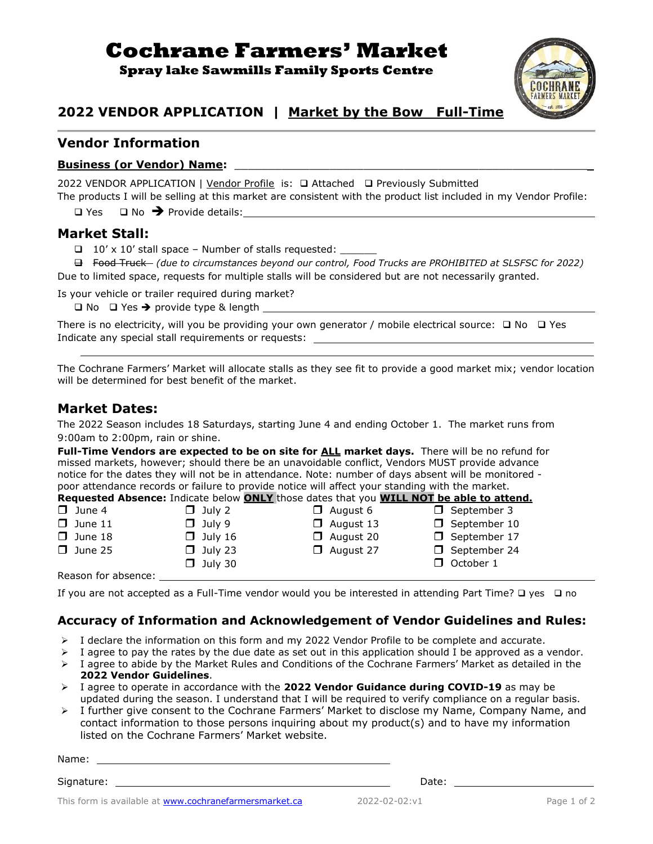# **Cochrane Farmers' Market**

**Spray lake Sawmills Family Sports Centre**



# **2022 VENDOR APPLICATION | Market by the Bow Full-Time**

## **Vendor Information**

#### **Business (or Vendor) Name:** \_\_\_\_\_\_\_\_\_\_\_\_\_\_\_\_\_\_\_\_\_\_\_\_\_\_\_\_\_\_\_\_\_\_\_\_\_\_\_\_\_\_\_\_\_\_\_\_\_\_\_\_

2022 VENDOR APPLICATION | Vendor Profile is: ❑ Attached ❑ Previously Submitted

The products I will be selling at this market are consistent with the product list included in my Vendor Profile: ❑ Yes ❑ No ➔ Provide details:

#### **Market Stall:**

 $\Box$  10' x 10' stall space – Number of stalls requested:

 ❑ Food Truck *(due to circumstances beyond our control, Food Trucks are PROHIBITED at SLSFSC for 2022)* Due to limited space, requests for multiple stalls will be considered but are not necessarily granted.

Is your vehicle or trailer required during market?

 $\square$  No  $\square$  Yes  $\rightarrow$  provide type & length  $\square$ 

There is no electricity, will you be providing your own generator / mobile electrical source: □ No □ Yes Indicate any special stall requirements or requests:

The Cochrane Farmers' Market will allocate stalls as they see fit to provide a good market mix; vendor location will be determined for best benefit of the market.

#### **Market Dates:**

The 2022 Season includes 18 Saturdays, starting June 4 and ending October 1. The market runs from 9:00am to 2:00pm, rain or shine.

**Full-Time Vendors are expected to be on site for ALL market days.** There will be no refund for missed markets, however; should there be an unavoidable conflict, Vendors MUST provide advance notice for the dates they will not be in attendance. Note: number of days absent will be monitored poor attendance records or failure to provide notice will affect your standing with the market.<br>Dequasted Absence: Indicate below ONLY those dates that you WILL NOT be able to attend. **Requested Absence:** Indicate below **ONLY** those dates that you **WILL NOT be able to attend.**

|                     |                | <b>Requested Absence:</b> Indicate Delow <b>ONLY</b> those dates that you <b>WILL NOT be able to attent</b> |                     |
|---------------------|----------------|-------------------------------------------------------------------------------------------------------------|---------------------|
| $\Box$ June 4       | $\Box$ July 2  | $\Box$ August 6                                                                                             | $\Box$ September 3  |
| $\Box$ June 11      | $\Box$ July 9  | $\Box$ August 13                                                                                            | $\Box$ September 10 |
| $\Box$ June 18      | $\Box$ July 16 | $\Box$ August 20                                                                                            | $\Box$ September 17 |
| $\Box$ June 25      | $\Box$ July 23 | $\Box$ August 27                                                                                            | $\Box$ September 24 |
|                     | $\Box$ July 30 |                                                                                                             | $\Box$ October 1    |
| Reason for absence: |                |                                                                                                             |                     |

If you are not accepted as a Full-Time vendor would you be interested in attending Part Time? ❑ yes ❑ no

#### **Accuracy of Information and Acknowledgement of Vendor Guidelines and Rules:**

- $\triangleright$  I declare the information on this form and my 2022 Vendor Profile to be complete and accurate.
- $\triangleright$  I agree to pay the rates by the due date as set out in this application should I be approved as a vendor.
- ➢ I agree to abide by the Market Rules and Conditions of the Cochrane Farmers' Market as detailed in the **2022 Vendor Guidelines**.
- ➢ I agree to operate in accordance with the **2022 Vendor Guidance during COVID-19** as may be updated during the season. I understand that I will be required to verify compliance on a regular basis.
- ➢ I further give consent to the Cochrane Farmers' Market to disclose my Name, Company Name, and contact information to those persons inquiring about my product(s) and to have my information listed on the Cochrane Farmers' Market website.

Name:

Signature: Date:

This form is available at **www.cochranefarmersmarket.ca** 2022-02-02:v1 Page 1 of 2